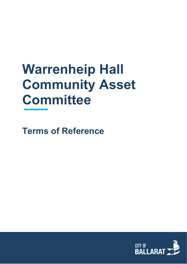# **Warrenheip Hall Community Asset Committee**

**Terms of Reference**

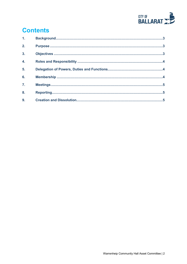

# **Contents**

| 1 <sub>1</sub>   |  |
|------------------|--|
| 2.               |  |
| $\overline{3}$ . |  |
| 4.               |  |
| 5.               |  |
| 6.               |  |
| $\overline{7}$ . |  |
| 8.               |  |
| 9.               |  |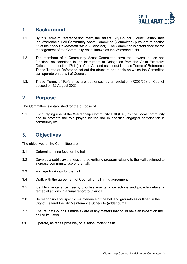

#### <span id="page-2-0"></span>**1. Background**

- 1.1. By this Terms of Reference document, the Ballarat City Council (Council) establishes the Warrenheip Hall Community Asset Committee (Committee) pursuant to section 65 of the *Local Government Act 2020* (the Act). The Committee is established for the management of the Community Asset known as the Warrenheip Hall.
- 1.2. The members of a Community Asset Committee have the powers, duties and functions as contained in the Instrument of Delegation from the Chief Executive Officer under section 47(1)(b) of the Act and as set out in these Terms of Reference. These Terms of Reference set out the structure and basis on which the Committee can operate on behalf of Council.
- 1.3. These Terms of Reference are authorised by a resolution (R203/20) of Council passed on 12 August 2020

#### <span id="page-2-1"></span>**2. Purpose**

The Committee is established for the purpose of:

2.1 Encouraging use of the Warrenheip Community Hall (Hall) by the Local community and to promote the role played by the hall in enabling engaged participation in community life

#### <span id="page-2-2"></span>**3. Objectives**

The objectives of the Committee are:

- 3.1 Determine hiring fees for the hall.
- 3.2 Develop a public awareness and advertising program relating to the Hall designed to increase community use of the hall.
- 3.3 Manage bookings for the hall.
- 3.4 Draft, with the agreement of Council, a hall hiring agreement.
- 3.5 Identify maintenance needs, prioritise maintenance actions and provide details of remedial actions in annual report to Council.
- 3.6 Be responsible for specific maintenance of the hall and grounds as outlined in the City of Ballarat Facility Maintenance Schedule (addendum1).
- 3.7 Ensure that Council is made aware of any matters that could have an impact on the hall or its users.
- 3.8 Operate, as far as possible, on a self-sufficient basis.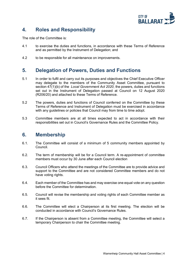

# <span id="page-3-0"></span>**4. Roles and Responsibility**

The role of the Committee is:

- 4.1 to exercise the duties and functions, in accordance with these Terms of Reference and as permitted by the Instrument of Delegation; and
- 4.2 to be responsible for all maintenance on improvements.

# <span id="page-3-1"></span>**5. Delegation of Powers, Duties and Functions**

- 5.1 In order to fulfil and carry out its purposes and objectives the Chief Executive Officer may delegate to the members of the Community Asset Committee, pursuant to section 47(1)(b) of the *Local Government Act 2020*, the powers, duties and functions set out in the Instrument of Delegation passed at Council on 12 August 2020 (R206/20) and attached to these Terms of Reference.
- 5.2 The powers, duties and functions of Council conferred on the Committee by these Terms of Reference and Instrument of Delegation must be exercised in accordance with any guidelines or policies that Council may from time to time adopt.
- 5.3 Committee members are at all times expected to act in accordance with their responsibilities set out in Council's Governance Rules and the Committee Policy.

#### <span id="page-3-2"></span>**6. Membership**

- 6.1. The Committee will consist of a minimum of 5 community members appointed by Council.
- 6.2. The term of membership will be for a Council term. A re-appointment of committee members must occur by 30 June after each Council election
- 6.3. Council Officers who attend the meetings of the Committee are to provide advice and support to the Committee and are not considered Committee members and do not have voting rights.
- 6.4. Each member of the Committee has and may exercise one equal vote on any question before the Committee for determination.
- 6.5. Council will revise the membership and voting rights of each Committee member as it sees fit.
- 6.6. The Committee will elect a Chairperson at its first meeting. The election will be conducted in accordance with Council's Governance Rules.
- 6.7. If the Chairperson is absent from a Committee meeting, the Committee will select a temporary Chairperson to chair the Committee meeting.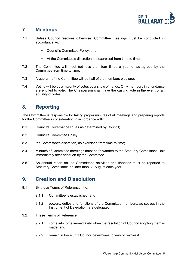

## <span id="page-4-0"></span>**7. Meetings**

- 7.1 Unless Council resolves otherwise, Committee meetings must be conducted in accordance with:
	- Council's Committee Policy; and
	- At the Committee's discretion, as exercised from time to time.
- 7.2 The Committee will meet not less than four times a year or as agreed by the Committee from time to time.
- 7.3 A quorum of the Committee will be half of the members plus one.
- 7.4 Voting will be by a majority of votes by a show of hands. Only members in attendance are entitled to vote. The Chairperson shall have the casting vote in the event of an equality of votes.

#### <span id="page-4-1"></span>**8. Reporting**

The Committee is responsible for taking proper minutes of all meetings and preparing reports for the Committee's consideration in accordance with:

- 8.1 Council's Governance Rules as determined by Council;
- 8.2 Council's Committee Policy;
- 8.3 the Committee's discretion, as exercised from time to time;
- 8.4 Minutes of Committee meetings must be forwarded to the Statutory Compliance Unit immediately after adoption by the Committee.
- 8.5 An annual report on the Committees activities and finances must be reported to Statutory Compliance no later than 30 August each year

#### <span id="page-4-2"></span>**9. Creation and Dissolution**

- 9.1 By these Terms of Reference, the:
	- 9.1.1 Committee is established; and
	- 9.1.2 powers, duties and functions of the Committee members, as set out in the Instrument of Delegation, are delegated.
- 9.2 These Terms of Reference
	- 9.2.1 come into force immediately when the resolution of Council adopting them is made; and
	- 9.2.2 remain in force until Council determines to vary or revoke it.